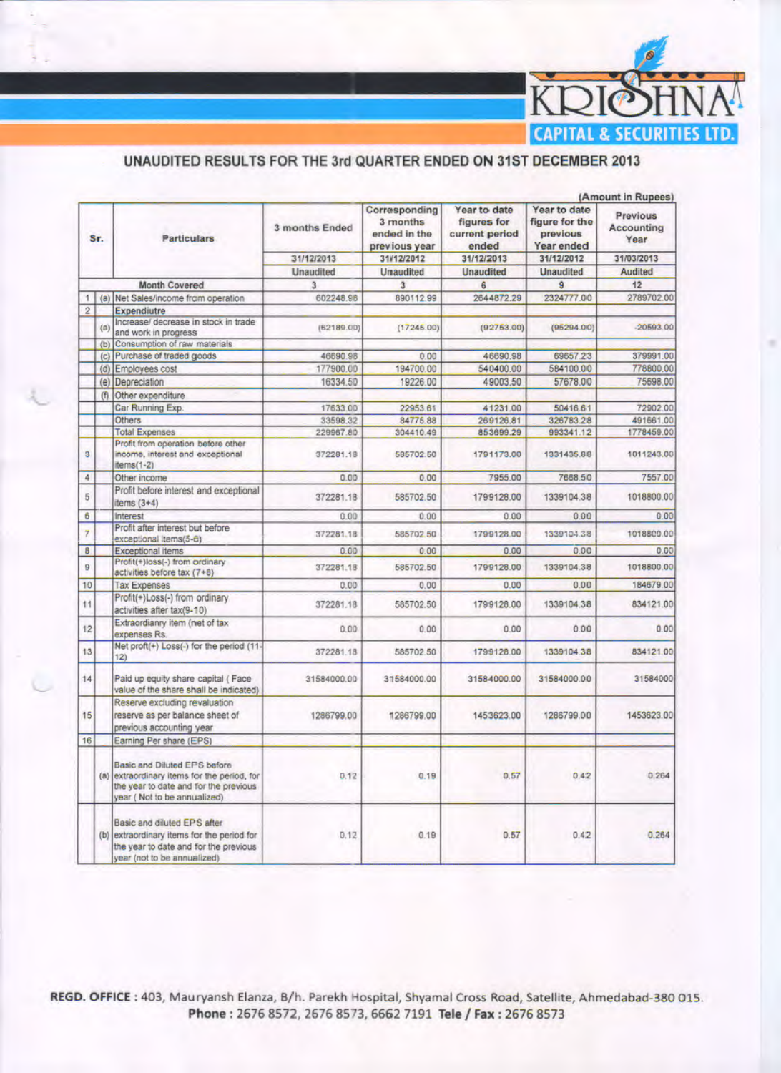

## UNAUDITED RESULTS FOR THE 3rd QUARTER ENDED ON 31ST DECEMBER 2013

|                |     |                                                                                                                                                     |                                     |                                                            | (Amount in Rupees)                                     |                                                          |                                |  |  |  |
|----------------|-----|-----------------------------------------------------------------------------------------------------------------------------------------------------|-------------------------------------|------------------------------------------------------------|--------------------------------------------------------|----------------------------------------------------------|--------------------------------|--|--|--|
| Sr.            |     | <b>Particulars</b>                                                                                                                                  | 3 months Ended                      | Corresponding<br>3 months<br>ended in the<br>previous year | Year to date<br>figures for<br>current period<br>ended | Year to date<br>figure for the<br>previous<br>Year ended | Previous<br>Accounting<br>Year |  |  |  |
|                |     |                                                                                                                                                     | 31/12/2013<br><b>Unaudited</b><br>3 | 31/12/2012<br><b>Unaudited</b><br>$\mathbf{3}$             | 31/12/2013                                             | 31/12/2012<br><b>Unaudited</b><br>$\overline{9}$         | 31/03/2013<br>Audited<br>12    |  |  |  |
|                |     |                                                                                                                                                     |                                     |                                                            | <b>Unaudited</b>                                       |                                                          |                                |  |  |  |
|                |     | Month Covered                                                                                                                                       |                                     |                                                            | 6                                                      |                                                          |                                |  |  |  |
| 1              | (a) | Net Sales/income from operation                                                                                                                     | 602248.98                           | 890112.99                                                  | 2644872.29                                             | 2324777.00                                               | 2789702.00                     |  |  |  |
| $\overline{2}$ |     | Expendiutre                                                                                                                                         |                                     |                                                            |                                                        |                                                          |                                |  |  |  |
|                | (a) | Increase/ decrease in stock in trade<br>and work in progress                                                                                        | (62189.00)                          | (17245.00)                                                 | (92753.00)                                             | (95294.00)                                               | $-20593.00$                    |  |  |  |
|                | (b) | Consumption of raw materials                                                                                                                        |                                     |                                                            |                                                        |                                                          |                                |  |  |  |
|                | (c) | Purchase of traded goods                                                                                                                            | 46690.98                            | 0.00                                                       | 46690.98                                               | 69657.23                                                 | 379991.00                      |  |  |  |
|                | (d) | Employees cost                                                                                                                                      | 177900.00                           | 194700.00                                                  | 540400.00                                              | 584100.00                                                | 778800.00                      |  |  |  |
|                | (e) | Depreciation                                                                                                                                        | 16334.50                            | 19226.00                                                   | 49003.50                                               | 57678.00                                                 | 75698.00                       |  |  |  |
|                | (f) | Other expenditure                                                                                                                                   |                                     |                                                            |                                                        |                                                          |                                |  |  |  |
|                |     | Car Running Exp.                                                                                                                                    | 17633.00                            | 22953.61                                                   | 41231.00                                               | 50416.61                                                 | 72902.00                       |  |  |  |
|                |     | Others                                                                                                                                              | 33598.32                            | 84775.88                                                   | 269126.81                                              | 326783.28                                                | 491661.00                      |  |  |  |
|                |     | <b>Total Expenses</b>                                                                                                                               | 229967.80                           | 304410.49                                                  | 853699.29                                              | 993341.12                                                | 1778459.00                     |  |  |  |
| 3              |     | Profit from operation before other<br>income, interest and exceptional<br>$items(1-2)$                                                              | 372281.18                           | 585702.50                                                  | 1791173.00                                             | 1331435.88                                               | 1011243.00                     |  |  |  |
| 4              |     | Other income                                                                                                                                        | 0.00                                | 0.00                                                       | 7955,00                                                | 7668.50                                                  | 7557.00                        |  |  |  |
| 5              |     | Profit before interest and exceptional<br>items $(3+4)$                                                                                             | 372281.18                           | 585702.50                                                  | 1799128.00                                             | 1339104.38                                               | 1018800.00                     |  |  |  |
| 6              |     | Interest                                                                                                                                            | 0.00                                | 0.00                                                       | 0.00                                                   | 0.00                                                     | 0.00                           |  |  |  |
| $\overline{7}$ |     | Profit after interest but before<br>exceptional items(5-6)                                                                                          | 372281.18                           | 585702.50                                                  | 1799128.00                                             | 1339104.38                                               | 1018800.00                     |  |  |  |
| 8              |     | Exceptional items                                                                                                                                   | 0.00.                               | 0.00                                                       | 0.00                                                   | 0.00                                                     | 0.00                           |  |  |  |
| 9              |     | Profit(+)loss(-) from ordinary<br>activities before tax (7+8)                                                                                       | 372281.18                           | 585702.50                                                  | 1799128.00                                             | 1339104.38                                               | 1018800.00                     |  |  |  |
| 10             |     | <b>Tax Expenses</b>                                                                                                                                 | 0.00                                | 0.00                                                       | 0.00                                                   | 0.00                                                     | 184679.00                      |  |  |  |
| 11             |     | Profit(+)Loss(-) from ordinary<br>activities after tax(9-10)                                                                                        | 372281.18                           | 585702.50                                                  | 1799128.00                                             | 1339104.38                                               | 834121.00                      |  |  |  |
| 12             |     | Extraordianry item (net of tax<br>expenses Rs.                                                                                                      | 0.00                                | 0.00                                                       | 0.00                                                   | 0.00                                                     | 0.00                           |  |  |  |
| 13             |     | Net proft(+) Loss(-) for the period (11-<br>12)                                                                                                     | 372281.18                           | 585702.50                                                  | 1799128.00                                             | 1339104.38                                               | 834121.00                      |  |  |  |
| 14             |     | Paid up equity share capital (Face<br>value of the share shall be indicated)                                                                        | 31584000.00                         | 31584000.00                                                | 3158-4000.00                                           | 31584000.00                                              | 31584000                       |  |  |  |
| 15             |     | Reserve excluding revaluation<br>reserve as per balance sheet of<br>previous accounting year                                                        | 1286799.00                          | 1286799.00                                                 | 1453623.00                                             | 1286799.00                                               | 1453623.00                     |  |  |  |
| 16             |     | Earning Per share (EPS)                                                                                                                             |                                     |                                                            |                                                        |                                                          |                                |  |  |  |
|                |     | Basic and Diluted EPS before<br>(a) extraordinary items for the period, for<br>the year to date and for the previous<br>year (Not to be annualized) | 0.12                                | 0.19                                                       | 0.57                                                   | 0.42                                                     | 0.264                          |  |  |  |
|                |     | Basic and diluted EPS after<br>(b) extraordinary items for the period for<br>the year to date and for the previous<br>year (not to be annualized)   | 0.12                                | 0.19                                                       | 0.57                                                   | 0.42                                                     | 0.264                          |  |  |  |

REGD. OFFICE: 403, Mauryansh Elanza, B/h. Parekh Hospital, Shyamal Cross Road, Satellite, Ahmedabad-380 015. Phone: 2676 8572, 2676 8573, 6662 7191 Tele / Fax: 2676 8573